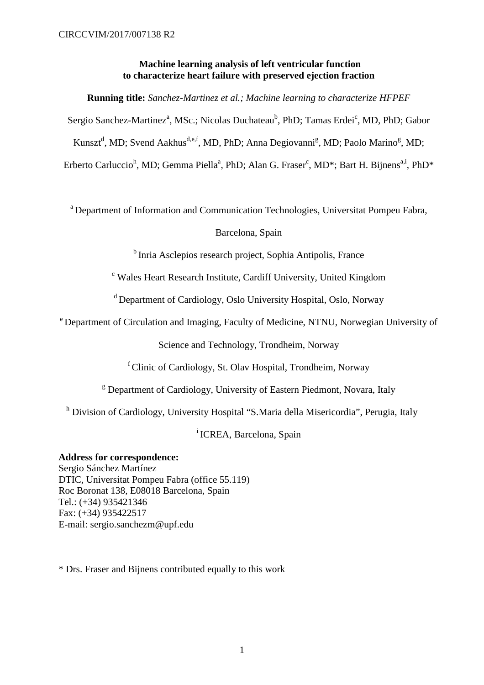# **Machine learning analysis of left ventricular function to characterize heart failure with preserved ejection fraction**

**Running title:** *Sanchez-Martinez et al.; Machine learning to characterize HFPEF*

Sergio Sanchez-Martinez<sup>a</sup>, MSc.; Nicolas Duchateau<sup>b</sup>, PhD; Tamas Erdei<sup>c</sup>, MD, PhD; Gabor

Kunszt<sup>d</sup>, MD; Svend Aakhus<sup>d,e,f</sup>, MD, PhD; Anna Degiovanni<sup>g</sup>, MD; Paolo Marino<sup>g</sup>, MD;

Erberto Carluccio<sup>h</sup>, MD; Gemma Piella<sup>a</sup>, PhD; Alan G. Fraser<sup>c</sup>, MD\*; Bart H. Bijnens<sup>a,i</sup>, PhD\*

a Department of Information and Communication Technologies, Universitat Pompeu Fabra,

# Barcelona, Spain

<sup>b</sup> Inria Asclepios research project, Sophia Antipolis, France

<sup>c</sup> Wales Heart Research Institute, Cardiff University, United Kingdom

d Department of Cardiology, Oslo University Hospital, Oslo, Norway

e Department of Circulation and Imaging, Faculty of Medicine, NTNU, Norwegian University of

Science and Technology, Trondheim, Norway

f Clinic of Cardiology, St. Olav Hospital, Trondheim, Norway

<sup>g</sup> Department of Cardiology, University of Eastern Piedmont, Novara, Italy

<sup>h</sup> Division of Cardiology, University Hospital "S.Maria della Misericordia", Perugia, Italy

i ICREA, Barcelona, Spain

**Address for correspondence:**  Sergio Sánchez Martínez DTIC, Universitat Pompeu Fabra (office 55.119) Roc Boronat 138, E08018 Barcelona, Spain Tel.: (+34) 935421346 Fax: (+34) 935422517 E-mail: [sergio.sanchezm@upf.edu](mailto:sergio.sanchezm@upf.edu)

\* Drs. Fraser and Bijnens contributed equally to this work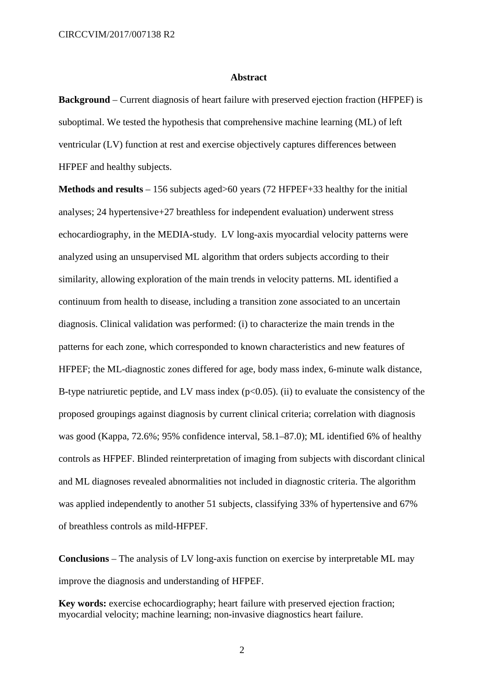### **Abstract**

**Background** – Current diagnosis of heart failure with preserved ejection fraction (HFPEF) is suboptimal. We tested the hypothesis that comprehensive machine learning (ML) of left ventricular (LV) function at rest and exercise objectively captures differences between HFPEF and healthy subjects.

**Methods and results** – 156 subjects aged>60 years (72 HFPEF+33 healthy for the initial analyses; 24 hypertensive+27 breathless for independent evaluation) underwent stress echocardiography, in the MEDIA-study. LV long-axis myocardial velocity patterns were analyzed using an unsupervised ML algorithm that orders subjects according to their similarity, allowing exploration of the main trends in velocity patterns. ML identified a continuum from health to disease, including a transition zone associated to an uncertain diagnosis. Clinical validation was performed: (i) to characterize the main trends in the patterns for each zone, which corresponded to known characteristics and new features of HFPEF; the ML-diagnostic zones differed for age, body mass index, 6-minute walk distance, B-type natriuretic peptide, and LV mass index  $(p<0.05)$ . (ii) to evaluate the consistency of the proposed groupings against diagnosis by current clinical criteria; correlation with diagnosis was good (Kappa, 72.6%; 95% confidence interval, 58.1–87.0); ML identified 6% of healthy controls as HFPEF. Blinded reinterpretation of imaging from subjects with discordant clinical and ML diagnoses revealed abnormalities not included in diagnostic criteria. The algorithm was applied independently to another 51 subjects, classifying 33% of hypertensive and 67% of breathless controls as mild-HFPEF.

**Conclusions** – The analysis of LV long-axis function on exercise by interpretable ML may improve the diagnosis and understanding of HFPEF.

**Key words:** exercise echocardiography; heart failure with preserved ejection fraction; myocardial velocity; machine learning; non-invasive diagnostics heart failure.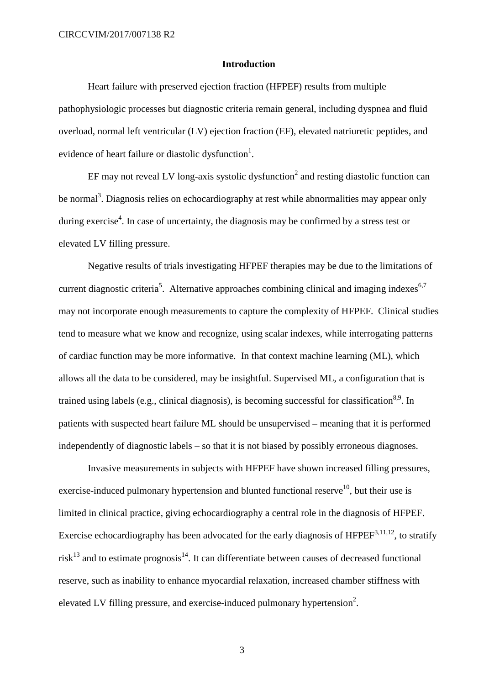### **Introduction**

Heart failure with preserved ejection fraction (HFPEF) results from multiple pathophysiologic processes but diagnostic criteria remain general, including dyspnea and fluid overload, normal left ventricular (LV) ejection fraction (EF), elevated natriuretic peptides, and evidence of heart failure or diastolic dysfunction<sup>1</sup>.

EF may not reveal LV long-axis systolic dysfunction<sup>2</sup> and resting diastolic function can be normal<sup>3</sup>. Diagnosis relies on echocardiography at rest while abnormalities may appear only during exercise<sup>4</sup>. In case of uncertainty, the diagnosis may be confirmed by a stress test or elevated LV filling pressure.

Negative results of trials investigating HFPEF therapies may be due to the limitations of current diagnostic criteria<sup>5</sup>. Alternative approaches combining clinical and imaging indexes<sup>6,7</sup> may not incorporate enough measurements to capture the complexity of HFPEF. Clinical studies tend to measure what we know and recognize, using scalar indexes, while interrogating patterns of cardiac function may be more informative. In that context machine learning (ML), which allows all the data to be considered, may be insightful. Supervised ML, a configuration that is trained using labels (e.g., clinical diagnosis), is becoming successful for classification<sup>8,9</sup>. In patients with suspected heart failure ML should be unsupervised – meaning that it is performed independently of diagnostic labels – so that it is not biased by possibly erroneous diagnoses.

Invasive measurements in subjects with HFPEF have shown increased filling pressures, exercise-induced pulmonary hypertension and blunted functional reserve<sup>10</sup>, but their use is limited in clinical practice, giving echocardiography a central role in the diagnosis of HFPEF. Exercise echocardiography has been advocated for the early diagnosis of  $HFPEF^{3,11,12}$ , to stratify  $risk^{13}$  and to estimate prognosis<sup>14</sup>. It can differentiate between causes of decreased functional reserve, such as inability to enhance myocardial relaxation, increased chamber stiffness with elevated LV filling pressure, and exercise-induced pulmonary hypertension<sup>2</sup>.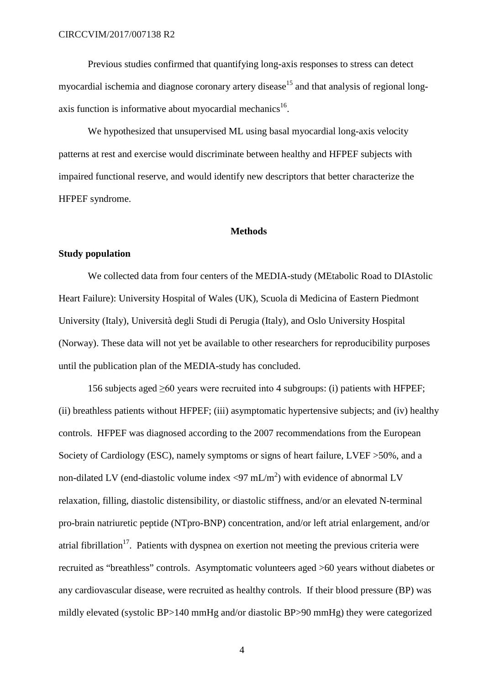Previous studies confirmed that quantifying long-axis responses to stress can detect myocardial ischemia and diagnose coronary artery disease<sup>15</sup> and that analysis of regional longaxis function is informative about myocardial mechanics<sup>16</sup>.

We hypothesized that unsupervised ML using basal myocardial long-axis velocity patterns at rest and exercise would discriminate between healthy and HFPEF subjects with impaired functional reserve, and would identify new descriptors that better characterize the HFPEF syndrome.

# **Methods**

# **Study population**

We collected data from four centers of the MEDIA-study (MEtabolic Road to DIAstolic Heart Failure): University Hospital of Wales (UK), Scuola di Medicina of Eastern Piedmont University (Italy), Università degli Studi di Perugia (Italy), and Oslo University Hospital (Norway). These data will not yet be available to other researchers for reproducibility purposes until the publication plan of the MEDIA-study has concluded.

156 subjects aged  $\geq 60$  years were recruited into 4 subgroups: (i) patients with HFPEF; (ii) breathless patients without HFPEF; (iii) asymptomatic hypertensive subjects; and (iv) healthy controls. HFPEF was diagnosed according to the 2007 recommendations from the European Society of Cardiology (ESC), namely symptoms or signs of heart failure, LVEF >50%, and a non-dilated LV (end-diastolic volume index  $\langle 97 \text{ mL/m}^2 \rangle$  with evidence of abnormal LV relaxation, filling, diastolic distensibility, or diastolic stiffness, and/or an elevated N-terminal pro-brain natriuretic peptide (NTpro-BNP) concentration, and/or left atrial enlargement, and/or atrial fibrillation<sup>17</sup>. Patients with dyspnea on exertion not meeting the previous criteria were recruited as "breathless" controls. Asymptomatic volunteers aged >60 years without diabetes or any cardiovascular disease, were recruited as healthy controls. If their blood pressure (BP) was mildly elevated (systolic BP>140 mmHg and/or diastolic BP>90 mmHg) they were categorized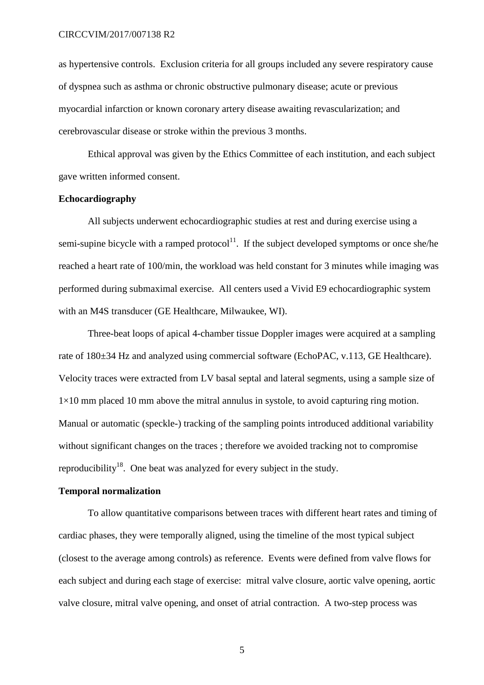as hypertensive controls. Exclusion criteria for all groups included any severe respiratory cause of dyspnea such as asthma or chronic obstructive pulmonary disease; acute or previous myocardial infarction or known coronary artery disease awaiting revascularization; and cerebrovascular disease or stroke within the previous 3 months.

Ethical approval was given by the Ethics Committee of each institution, and each subject gave written informed consent.

# **Echocardiography**

All subjects underwent echocardiographic studies at rest and during exercise using a semi-supine bicycle with a ramped protocol<sup>11</sup>. If the subject developed symptoms or once she/he reached a heart rate of 100/min, the workload was held constant for 3 minutes while imaging was performed during submaximal exercise. All centers used a Vivid E9 echocardiographic system with an M4S transducer (GE Healthcare, Milwaukee, WI).

Three-beat loops of apical 4-chamber tissue Doppler images were acquired at a sampling rate of 180±34 Hz and analyzed using commercial software (EchoPAC, v.113, GE Healthcare). Velocity traces were extracted from LV basal septal and lateral segments, using a sample size of  $1\times10$  mm placed 10 mm above the mitral annulus in systole, to avoid capturing ring motion. Manual or automatic (speckle-) tracking of the sampling points introduced additional variability without significant changes on the traces ; therefore we avoided tracking not to compromise reproducibility<sup>18</sup>. One beat was analyzed for every subject in the study.

### **Temporal normalization**

To allow quantitative comparisons between traces with different heart rates and timing of cardiac phases, they were temporally aligned, using the timeline of the most typical subject (closest to the average among controls) as reference. Events were defined from valve flows for each subject and during each stage of exercise: mitral valve closure, aortic valve opening, aortic valve closure, mitral valve opening, and onset of atrial contraction. A two-step process was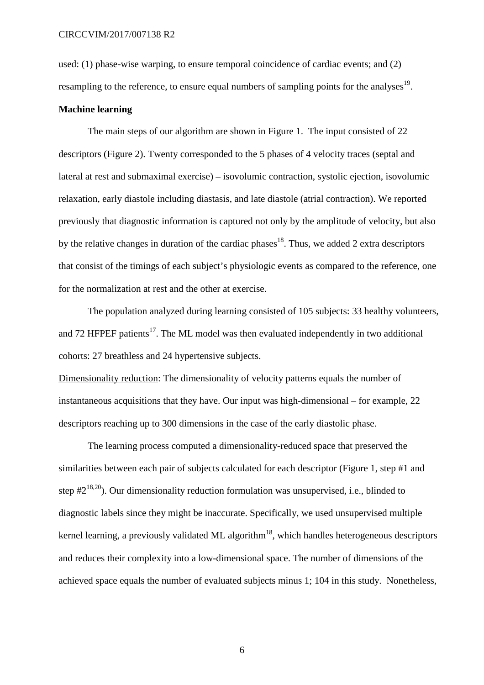used: (1) phase-wise warping, to ensure temporal coincidence of cardiac events; and (2) resampling to the reference, to ensure equal numbers of sampling points for the analyses<sup>19</sup>.

### **Machine learning**

The main steps of our algorithm are shown in Figure 1. The input consisted of 22 descriptors (Figure 2). Twenty corresponded to the 5 phases of 4 velocity traces (septal and lateral at rest and submaximal exercise) – isovolumic contraction, systolic ejection, isovolumic relaxation, early diastole including diastasis, and late diastole (atrial contraction). We reported previously that diagnostic information is captured not only by the amplitude of velocity, but also by the relative changes in duration of the cardiac phases<sup>18</sup>. Thus, we added 2 extra descriptors that consist of the timings of each subject's physiologic events as compared to the reference, one for the normalization at rest and the other at exercise.

The population analyzed during learning consisted of 105 subjects: 33 healthy volunteers, and 72 HFPEF patients<sup>17</sup>. The ML model was then evaluated independently in two additional cohorts: 27 breathless and 24 hypertensive subjects.

Dimensionality reduction : The dimensionality of velocity patterns equals the number of instantaneous acquisitions that they have. Our input was high-dimensional – for example, 22 descriptors reaching up to 300 dimensions in the case of the early diastolic phase.

The learning process computed a dimensionality-reduced space that preserved the similarities between each pair of subjects calculated for each descriptor (Figure 1, step #1 and step  $#2^{18,20}$ ). Our dimensionality reduction formulation was unsupervised, i.e., blinded to diagnostic labels since they might be inaccurate. Specifically, we used unsupervised multiple kernel learning, a previously validated ML algorithm<sup>18</sup>, which handles heterogeneous descriptors and reduces their complexity into a low-dimensional space. The number of dimensions of the achieved space equals the number of evaluated subjects minus 1; 104 in this study. Nonetheless,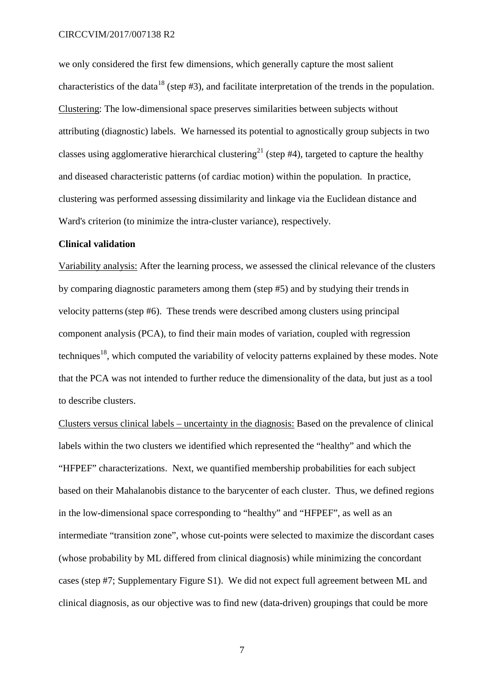we only considered the first few dimensions, which generally capture the most salient characteristics of the data<sup>18</sup> (step  $#3$ ), and facilitate interpretation of the trends in the population. Clustering : The low-dimensional space preserves similarities between subjects without attributing (diagnostic) labels. We harnessed its potential to agnostically group subjects in two classes using agglomerative hierarchical clustering<sup>21</sup> (step #4), targeted to capture the healthy and diseased characteristic patterns (of cardiac motion) within the population. In practice, clustering was performed assessing dissimilarity and linkage via the Euclidean distance and Ward's criterion (to minimize the intra-cluster variance), respectively.

### **Clinical validation**

Variability analysis: After the learning process, we assessed the clinical relevance of the clusters by comparing diagnostic parameters among them (step #5) and by studying their trendsin velocity patterns(step #6). These trends were described among clusters using principal component analysis (PCA), to find their main modes of variation, coupled with regression techniques<sup>18</sup>, which computed the variability of velocity patterns explained by these modes. Note that the PCA was not intended to further reduce the dimensionality of the data, but just as a tool to describe clusters.

Clusters versus clinical labels – uncertainty in the diagnosis: Based on the prevalence of clinical labels within the two clusters we identified which represented the "healthy" and which the "HFPEF" characterizations. Next, we quantified membership probabilities for each subject based on their Mahalanobis distance to the barycenter of each cluster. Thus, we defined regions in the low-dimensional space corresponding to "healthy" and "HFPEF", as well as an intermediate "transition zone", whose cut-points were selected to maximize the discordant cases (whose probability by ML differed from clinical diagnosis) while minimizing the concordant cases (step #7; Supplementary Figure S1). We did not expect full agreement between ML and clinical diagnosis, as our objective was to find new (data-driven) groupings that could be more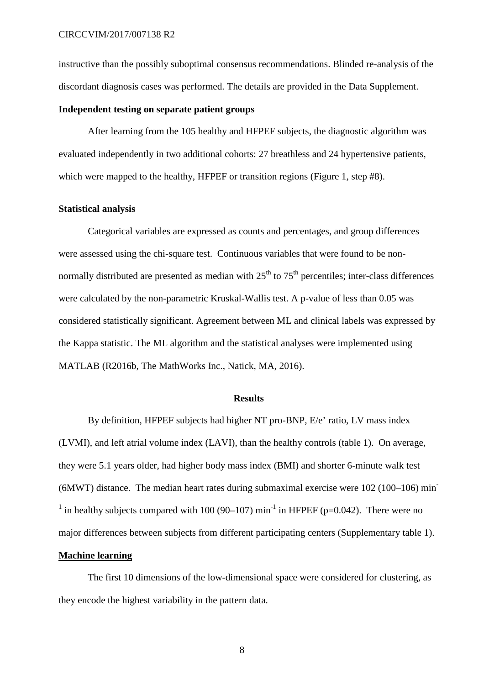instructive than the possibly suboptimal consensus recommendations. Blinded re-analysis of the discordant diagnosis cases was performed. The details are provided in the Data Supplement.

# **Independent testing on separate patient groups**

After learning from the 105 healthy and HFPEF subjects, the diagnostic algorithm was evaluated independently in two additional cohorts: 27 breathless and 24 hypertensive patients, which were mapped to the healthy, HFPEF or transition regions (Figure 1, step #8).

# **Statistical analysis**

Categorical variables are expressed as counts and percentages, and group differences were assessed using the chi-square test. Continuous variables that were found to be nonnormally distributed are presented as median with  $25<sup>th</sup>$  to  $75<sup>th</sup>$  percentiles; inter-class differences were calculated by the non-parametric Kruskal-Wallis test. A p-value of less than 0.05 was considered statistically significant. Agreement between ML and clinical labels was expressed by the Kappa statistic. The ML algorithm and the statistical analyses were implemented using MATLAB (R2016b, The MathWorks Inc., Natick, MA, 2016).

### **Results**

By definition, HFPEF subjects had higher NT pro-BNP, E/e' ratio, LV mass index (LVMI), and left atrial volume index (LAVI), than the healthy controls (table 1). On average, they were 5.1 years older, had higher body mass index (BMI) and shorter 6-minute walk test (6MWT) distance. The median heart rates during submaximal exercise were 102 (100–106) min-<sup>1</sup> in healthy subjects compared with 100 (90–107) min<sup>-1</sup> in HFPEF (p=0.042). There were no major differences between subjects from different participating centers (Supplementary table 1). **Machine learning**

The first 10 dimensions of the low-dimensional space were considered for clustering, as they encode the highest variability in the pattern data.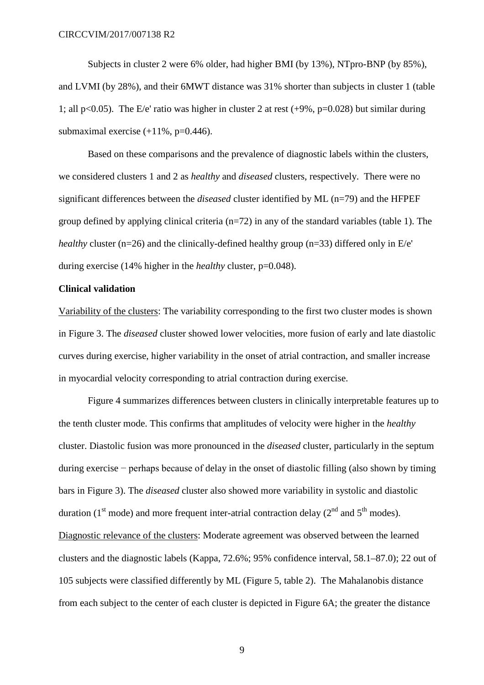Subjects in cluster 2 were 6% older, had higher BMI (by 13%), NTpro-BNP (by 85%), and LVMI (by 28%), and their 6MWT distance was 31% shorter than subjects in cluster 1 (table 1; all p<0.05). The E/e' ratio was higher in cluster 2 at rest  $(+9\% , p=0.028)$  but similar during submaximal exercise  $(+11\% , p=0.446)$ .

Based on these comparisons and the prevalence of diagnostic labels within the clusters, we considered clusters 1 and 2 as *healthy* and *diseased* clusters, respectively. There were no significant differences between the *diseased* cluster identified by ML (n=79) and the HFPEF group defined by applying clinical criteria  $(n=72)$  in any of the standard variables (table 1). The *healthy* cluster (n=26) and the clinically-defined healthy group (n=33) differed only in E/e' during exercise (14% higher in the *healthy* cluster, p=0.048).

# **Clinical validation**

Variability of the clusters: The variability corresponding to the first two cluster modes is shown in Figure 3. The *diseased* cluster showed lower velocities, more fusion of early and late diastolic curves during exercise, higher variability in the onset of atrial contraction, and smaller increase in myocardial velocity corresponding to atrial contraction during exercise.

Figure 4 summarizes differences between clusters in clinically interpretable features up to the tenth cluster mode. This confirms that amplitudes of velocity were higher in the *healthy* cluster. Diastolic fusion was more pronounced in the *diseased* cluster, particularly in the septum during exercise − perhaps because of delay in the onset of diastolic filling (also shown by timing bars in Figure 3). The *diseased* cluster also showed more variability in systolic and diastolic duration (1<sup>st</sup> mode) and more frequent inter-atrial contraction delay ( $2<sup>nd</sup>$  and  $5<sup>th</sup>$  modes). Diagnostic relevance of the clusters: Moderate agreement was observed between the learned clusters and the diagnostic labels (Kappa, 72.6%; 95% confidence interval, 58.1–87.0); 22 out of 105 subjects were classified differently by ML (Figure 5, table 2). The Mahalanobis distance from each subject to the center of each cluster is depicted in Figure 6A; the greater the distance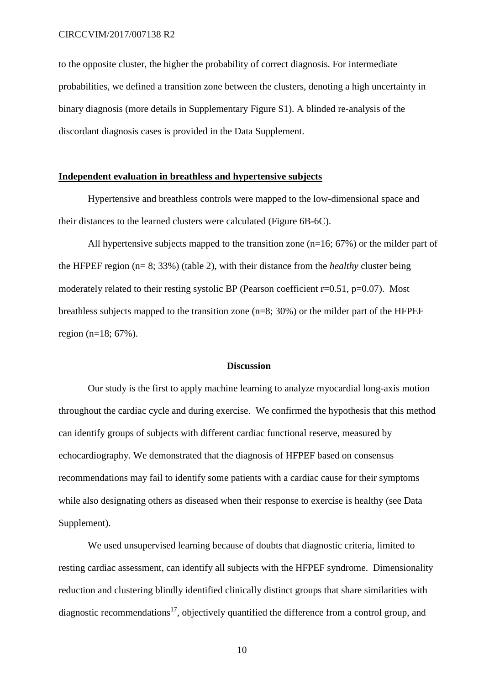to the opposite cluster, the higher the probability of correct diagnosis. For intermediate probabilities, we defined a transition zone between the clusters, denoting a high uncertainty in binary diagnosis (more details in Supplementary Figure S1). A blinded re-analysis of the discordant diagnosis cases is provided in the Data Supplement.

# **Independent evaluation in breathless and hypertensive subjects**

Hypertensive and breathless controls were mapped to the low-dimensional space and their distances to the learned clusters were calculated (Figure 6B-6C).

All hypertensive subjects mapped to the transition zone (n=16; 67%) or the milder part of the HFPEF region (n= 8; 33%) (table 2), with their distance from the *healthy* cluster being moderately related to their resting systolic BP (Pearson coefficient r=0.51, p=0.07). Most breathless subjects mapped to the transition zone (n=8; 30%) or the milder part of the HFPEF region (n=18; 67%).

### **Discussion**

Our study is the first to apply machine learning to analyze myocardial long-axis motion throughout the cardiac cycle and during exercise. We confirmed the hypothesis that this method can identify groups of subjects with different cardiac functional reserve, measured by echocardiography. We demonstrated that the diagnosis of HFPEF based on consensus recommendations may fail to identify some patients with a cardiac cause for their symptoms while also designating others as diseased when their response to exercise is healthy (see Data Supplement).

We used unsupervised learning because of doubts that diagnostic criteria, limited to resting cardiac assessment, can identify all subjects with the HFPEF syndrome. Dimensionality reduction and clustering blindly identified clinically distinct groups that share similarities with diagnostic recommendations<sup>17</sup>, objectively quantified the difference from a control group, and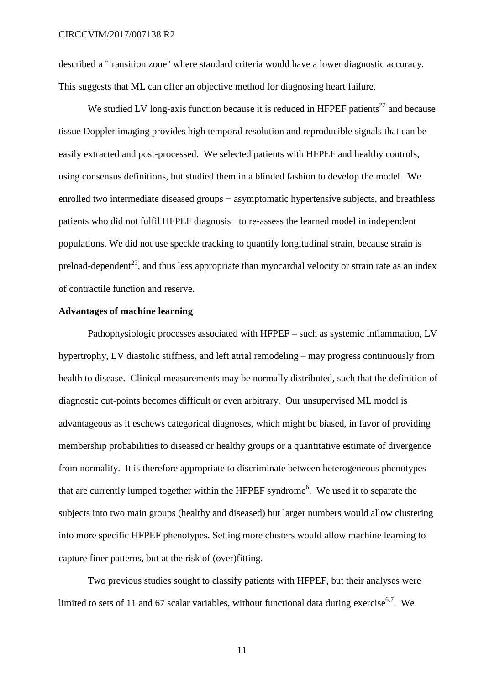described a "transition zone" where standard criteria would have a lower diagnostic accuracy. This suggests that ML can offer an objective method for diagnosing heart failure.

We studied LV long-axis function because it is reduced in HFPEF patients<sup>22</sup> and because tissue Doppler imaging provides high temporal resolution and reproducible signals that can be easily extracted and post-processed. We selected patients with HFPEF and healthy controls, using consensus definitions, but studied them in a blinded fashion to develop the model. We enrolled two intermediate diseased groups – asymptomatic hypertensive subjects, and breathless patients who did not fulfil HFPEF diagnosis− to re-assess the learned model in independent populations. We did not use speckle tracking to quantify longitudinal strain, because strain is preload-dependent<sup>23</sup>, and thus less appropriate than myocardial velocity or strain rate as an index of contractile function and reserve.

# **Advantages of machine learning**

Pathophysiologic processes associated with HFPEF – such as systemic inflammation, LV hypertrophy, LV diastolic stiffness, and left atrial remodeling – may progress continuously from health to disease. Clinical measurements may be normally distributed, such that the definition of diagnostic cut-points becomes difficult or even arbitrary. Our unsupervised ML model is advantageous as it eschews categorical diagnoses, which might be biased, in favor of providing membership probabilities to diseased or healthy groups or a quantitative estimate of divergence from normality. It is therefore appropriate to discriminate between heterogeneous phenotypes that are currently lumped together within the HFPEF syndrome<sup>6</sup>. We used it to separate the subjects into two main groups (healthy and diseased) but larger numbers would allow clustering into more specific HFPEF phenotypes. Setting more clusters would allow machine learning to capture finer patterns, but at the risk of (over)fitting.

Two previous studies sought to classify patients with HFPEF, but their analyses were limited to sets of 11 and 67 scalar variables, without functional data during exercise<sup>6,7</sup>. We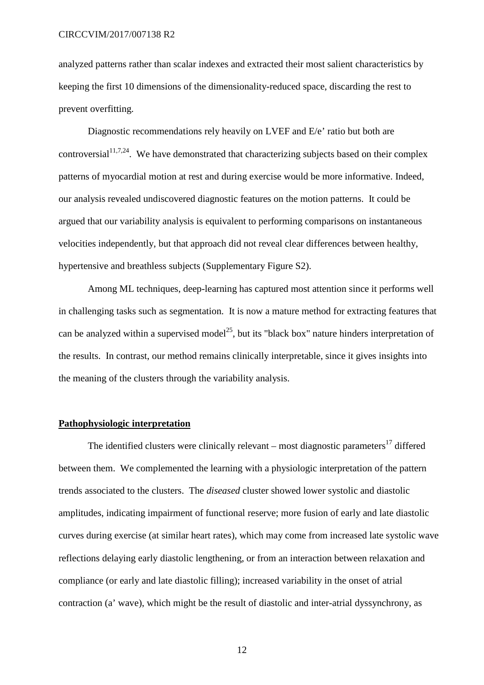analyzed patterns rather than scalar indexes and extracted their most salient characteristics by keeping the first 10 dimensions of the dimensionality-reduced space, discarding the rest to prevent overfitting.

Diagnostic recommendations rely heavily on LVEF and E/e' ratio but both are controversial<sup>11,7,24</sup>. We have demonstrated that characterizing subjects based on their complex patterns of myocardial motion at rest and during exercise would be more informative. Indeed, our analysis revealed undiscovered diagnostic features on the motion patterns. It could be argued that our variability analysis is equivalent to performing comparisons on instantaneous velocities independently, but that approach did not reveal clear differences between healthy, hypertensive and breathless subjects (Supplementary Figure S2).

Among ML techniques, deep-learning has captured most attention since it performs well in challenging tasks such as segmentation. It is now a mature method for extracting features that can be analyzed within a supervised model<sup>25</sup>, but its "black box" nature hinders interpretation of the results. In contrast, our method remains clinically interpretable, since it gives insights into the meaning of the clusters through the variability analysis.

# **Pathophysiologic interpretation**

The identified clusters were clinically relevant – most diagnostic parameters<sup>17</sup> differed between them. We complemented the learning with a physiologic interpretation of the pattern trends associated to the clusters. The *diseased* cluster showed lower systolic and diastolic amplitudes, indicating impairment of functional reserve; more fusion of early and late diastolic curves during exercise (at similar heart rates), which may come from increased late systolic wave reflections delaying early diastolic lengthening, or from an interaction between relaxation and compliance (or early and late diastolic filling); increased variability in the onset of atrial contraction (a' wave), which might be the result of diastolic and inter-atrial dyssynchrony, as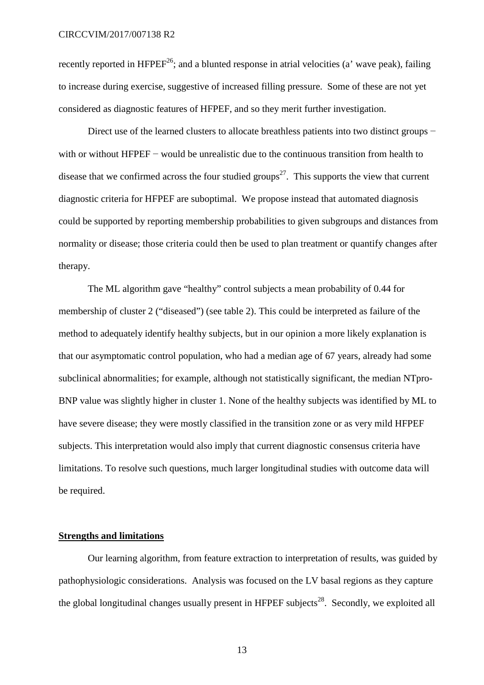recently reported in  $HFPEF^{26}$ ; and a blunted response in atrial velocities (a' wave peak), failing to increase during exercise, suggestive of increased filling pressure. Some of these are not yet considered as diagnostic features of HFPEF, and so they merit further investigation.

Direct use of the learned clusters to allocate breathless patients into two distinct groups − with or without HFPEF − would be unrealistic due to the continuous transition from health to disease that we confirmed across the four studied groups<sup>27</sup>. This supports the view that current diagnostic criteria for HFPEF are suboptimal. We propose instead that automated diagnosis could be supported by reporting membership probabilities to given subgroups and distances from normality or disease; those criteria could then be used to plan treatment or quantify changes after therapy.

The ML algorithm gave "healthy" control subjects a mean probability of 0.44 for membership of cluster 2 ("diseased") (see table 2). This could be interpreted as failure of the method to adequately identify healthy subjects, but in our opinion a more likely explanation is that our asymptomatic control population, who had a median age of 67 years, already had some subclinical abnormalities; for example, although not statistically significant, the median NTpro-BNP value was slightly higher in cluster 1. None of the healthy subjects was identified by ML to have severe disease; they were mostly classified in the transition zone or as very mild HFPEF subjects. This interpretation would also imply that current diagnostic consensus criteria have limitations. To resolve such questions, much larger longitudinal studies with outcome data will be required.

# **Strengths and limitations**

Our learning algorithm, from feature extraction to interpretation of results, was guided by pathophysiologic considerations. Analysis was focused on the LV basal regions as they capture the global longitudinal changes usually present in HFPEF subjects<sup>28</sup>. Secondly, we exploited all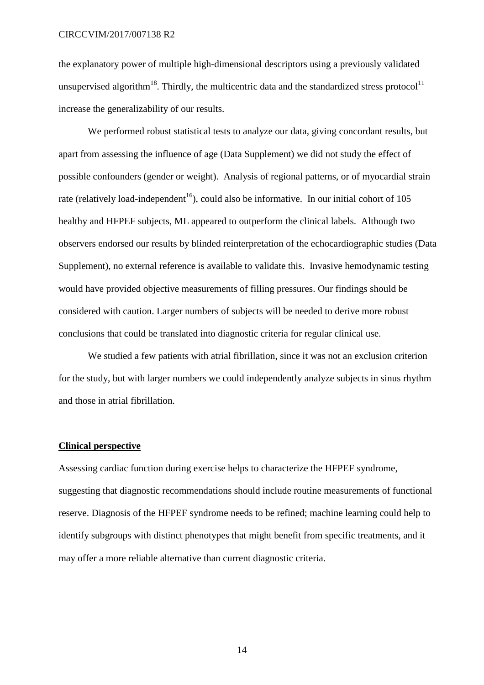### CIRCCVIM/2017/007138 R2

the explanatory power of multiple high-dimensional descriptors using a previously validated unsupervised algorithm<sup>18</sup>. Thirdly, the multicentric data and the standardized stress protocol<sup>11</sup> increase the generalizability of our results.

We performed robust statistical tests to analyze our data, giving concordant results, but apart from assessing the influence of age (Data Supplement) we did not study the effect of possible confounders (gender or weight). Analysis of regional patterns, or of myocardial strain rate (relatively load-independent<sup>16</sup>), could also be informative. In our initial cohort of 105 healthy and HFPEF subjects, ML appeared to outperform the clinical labels. Although two observers endorsed our results by blinded reinterpretation of the echocardiographic studies (Data Supplement), no external reference is available to validate this. Invasive hemodynamic testing would have provided objective measurements of filling pressures. Our findings should be considered with caution. Larger numbers of subjects will be needed to derive more robust conclusions that could be translated into diagnostic criteria for regular clinical use.

We studied a few patients with atrial fibrillation, since it was not an exclusion criterion for the study, but with larger numbers we could independently analyze subjects in sinus rhythm and those in atrial fibrillation.

# **Clinical perspective**

Assessing cardiac function during exercise helps to characterize the HFPEF syndrome, suggesting that diagnostic recommendations should include routine measurements of functional reserve. Diagnosis of the HFPEF syndrome needs to be refined; machine learning could help to identify subgroups with distinct phenotypes that might benefit from specific treatments, and it may offer a more reliable alternative than current diagnostic criteria.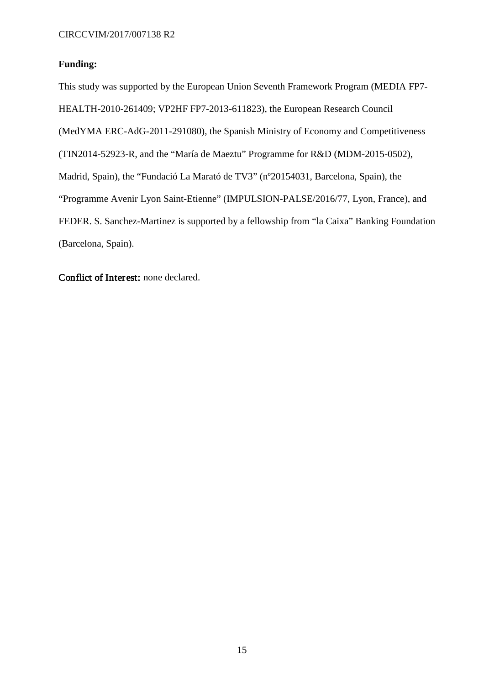# **Funding:**

This study was supported by the European Union Seventh Framework Program (MEDIA FP7- HEALTH-2010-261409; VP2HF FP7-2013-611823), the European Research Council (MedYMA ERC-AdG-2011-291080), the Spanish Ministry of Economy and Competitiveness (TIN2014-52923-R, and the "María de Maeztu" Programme for R&D (MDM-2015-0502), Madrid, Spain), the "Fundació La Marató de TV3" (nº20154031, Barcelona, Spain), the "Programme Avenir Lyon Saint-Etienne" (IMPULSION-PALSE/2016/77, Lyon, France), and FEDER. S. Sanchez-Martinez is supported by a fellowship from "la Caixa" Banking Foundation (Barcelona, Spain).

Conflict of Interest: none declared.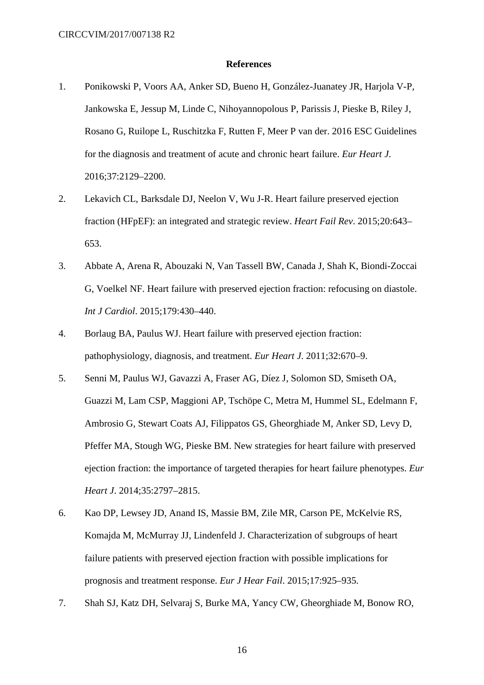#### **References**

- 1. Ponikowski P, Voors AA, Anker SD, Bueno H, González-Juanatey JR, Harjola V-P, Jankowska E, Jessup M, Linde C, Nihoyannopolous P, Parissis J, Pieske B, Riley J, Rosano G, Ruilope L, Ruschitzka F, Rutten F, Meer P van der. 2016 ESC Guidelines for the diagnosis and treatment of acute and chronic heart failure. *Eur Heart J*. 2016;37:2129–2200.
- 2. Lekavich CL, Barksdale DJ, Neelon V, Wu J-R. Heart failure preserved ejection fraction (HFpEF): an integrated and strategic review. *Heart Fail Rev*. 2015;20:643– 653.
- 3. Abbate A, Arena R, Abouzaki N, Van Tassell BW, Canada J, Shah K, Biondi-Zoccai G, Voelkel NF. Heart failure with preserved ejection fraction: refocusing on diastole. *Int J Cardiol*. 2015;179:430–440.
- 4. Borlaug BA, Paulus WJ. Heart failure with preserved ejection fraction: pathophysiology, diagnosis, and treatment. *Eur Heart J*. 2011;32:670–9.
- 5. Senni M, Paulus WJ, Gavazzi A, Fraser AG, Díez J, Solomon SD, Smiseth OA, Guazzi M, Lam CSP, Maggioni AP, Tschöpe C, Metra M, Hummel SL, Edelmann F, Ambrosio G, Stewart Coats AJ, Filippatos GS, Gheorghiade M, Anker SD, Levy D, Pfeffer MA, Stough WG, Pieske BM. New strategies for heart failure with preserved ejection fraction: the importance of targeted therapies for heart failure phenotypes. *Eur Heart J*. 2014;35:2797–2815.
- 6. Kao DP, Lewsey JD, Anand IS, Massie BM, Zile MR, Carson PE, McKelvie RS, Komajda M, McMurray JJ, Lindenfeld J. Characterization of subgroups of heart failure patients with preserved ejection fraction with possible implications for prognosis and treatment response. *Eur J Hear Fail*. 2015;17:925–935.
- 7. Shah SJ, Katz DH, Selvaraj S, Burke MA, Yancy CW, Gheorghiade M, Bonow RO,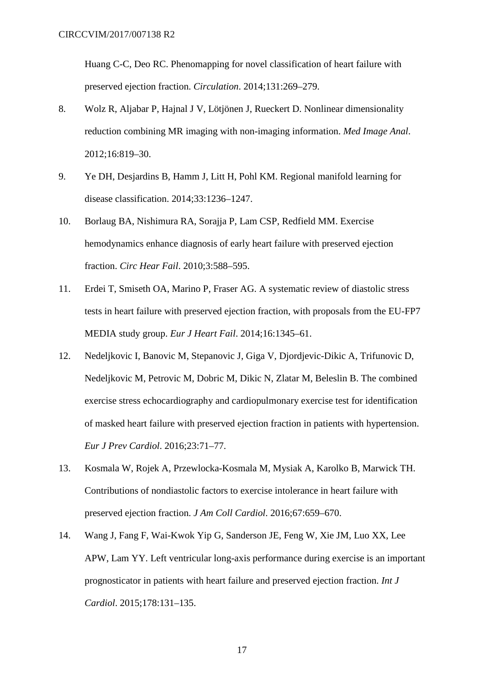Huang C-C, Deo RC. Phenomapping for novel classification of heart failure with preserved ejection fraction. *Circulation*. 2014;131:269–279.

- 8. Wolz R, Aljabar P, Hajnal J V, Lötjönen J, Rueckert D. Nonlinear dimensionality reduction combining MR imaging with non-imaging information. *Med Image Anal*. 2012;16:819–30.
- 9. Ye DH, Desjardins B, Hamm J, Litt H, Pohl KM. Regional manifold learning for disease classification. 2014;33:1236–1247.
- 10. Borlaug BA, Nishimura RA, Sorajja P, Lam CSP, Redfield MM. Exercise hemodynamics enhance diagnosis of early heart failure with preserved ejection fraction. *Circ Hear Fail*. 2010;3:588–595.
- 11. Erdei T, Smiseth OA, Marino P, Fraser AG. A systematic review of diastolic stress tests in heart failure with preserved ejection fraction, with proposals from the EU-FP7 MEDIA study group. *Eur J Heart Fail*. 2014;16:1345–61.
- 12. Nedeljkovic I, Banovic M, Stepanovic J, Giga V, Djordjevic-Dikic A, Trifunovic D, Nedeljkovic M, Petrovic M, Dobric M, Dikic N, Zlatar M, Beleslin B. The combined exercise stress echocardiography and cardiopulmonary exercise test for identification of masked heart failure with preserved ejection fraction in patients with hypertension. *Eur J Prev Cardiol*. 2016;23:71–77.
- 13. Kosmala W, Rojek A, Przewlocka-Kosmala M, Mysiak A, Karolko B, Marwick TH. Contributions of nondiastolic factors to exercise intolerance in heart failure with preserved ejection fraction. *J Am Coll Cardiol*. 2016;67:659–670.
- 14. Wang J, Fang F, Wai-Kwok Yip G, Sanderson JE, Feng W, Xie JM, Luo XX, Lee APW, Lam YY. Left ventricular long-axis performance during exercise is an important prognosticator in patients with heart failure and preserved ejection fraction. *Int J Cardiol*. 2015;178:131–135.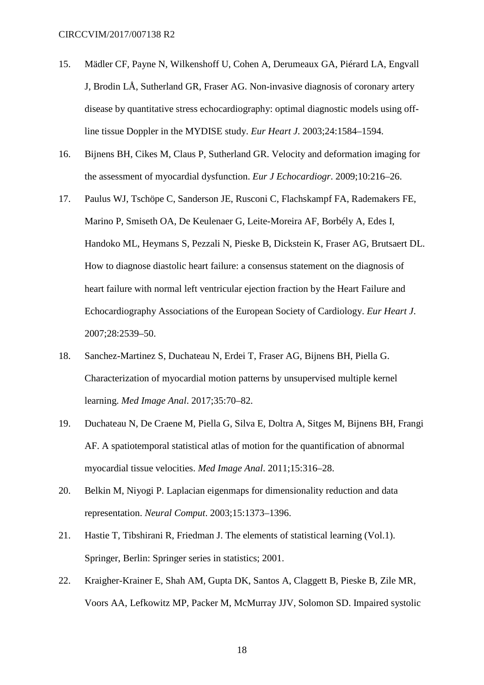- 15. Mädler CF, Payne N, Wilkenshoff U, Cohen A, Derumeaux GA, Piérard LA, Engvall J, Brodin LÅ, Sutherland GR, Fraser AG. Non-invasive diagnosis of coronary artery disease by quantitative stress echocardiography: optimal diagnostic models using offline tissue Doppler in the MYDISE study. *Eur Heart J*. 2003;24:1584–1594.
- 16. Bijnens BH, Cikes M, Claus P, Sutherland GR. Velocity and deformation imaging for the assessment of myocardial dysfunction. *Eur J Echocardiogr*. 2009;10:216–26.
- 17. Paulus WJ, Tschöpe C, Sanderson JE, Rusconi C, Flachskampf FA, Rademakers FE, Marino P, Smiseth OA, De Keulenaer G, Leite-Moreira AF, Borbély A, Edes I, Handoko ML, Heymans S, Pezzali N, Pieske B, Dickstein K, Fraser AG, Brutsaert DL. How to diagnose diastolic heart failure: a consensus statement on the diagnosis of heart failure with normal left ventricular ejection fraction by the Heart Failure and Echocardiography Associations of the European Society of Cardiology. *Eur Heart J*. 2007;28:2539–50.
- 18. Sanchez-Martinez S, Duchateau N, Erdei T, Fraser AG, Bijnens BH, Piella G. Characterization of myocardial motion patterns by unsupervised multiple kernel learning. *Med Image Anal*. 2017;35:70–82.
- 19. Duchateau N, De Craene M, Piella G, Silva E, Doltra A, Sitges M, Bijnens BH, Frangi AF. A spatiotemporal statistical atlas of motion for the quantification of abnormal myocardial tissue velocities. *Med Image Anal*. 2011;15:316–28.
- 20. Belkin M, Niyogi P. Laplacian eigenmaps for dimensionality reduction and data representation. *Neural Comput*. 2003;15:1373–1396.
- 21. Hastie T, Tibshirani R, Friedman J. The elements of statistical learning (Vol.1). Springer, Berlin: Springer series in statistics; 2001.
- 22. Kraigher-Krainer E, Shah AM, Gupta DK, Santos A, Claggett B, Pieske B, Zile MR, Voors AA, Lefkowitz MP, Packer M, McMurray JJV, Solomon SD. Impaired systolic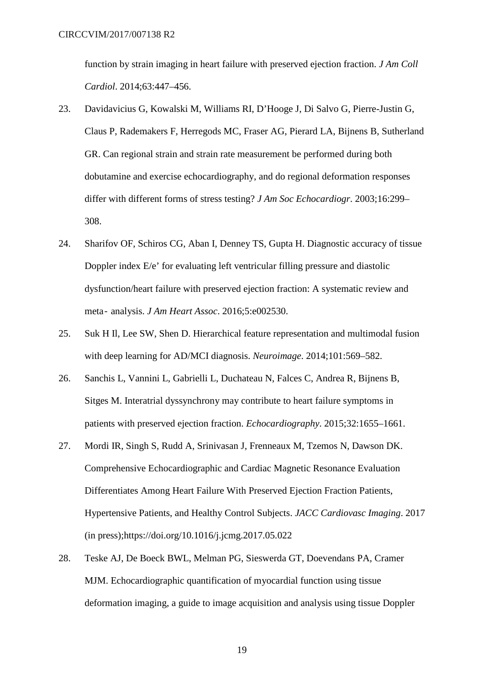function by strain imaging in heart failure with preserved ejection fraction. *J Am Coll Cardiol*. 2014;63:447–456.

- 23. Davidavicius G, Kowalski M, Williams RI, D'Hooge J, Di Salvo G, Pierre-Justin G, Claus P, Rademakers F, Herregods MC, Fraser AG, Pierard LA, Bijnens B, Sutherland GR. Can regional strain and strain rate measurement be performed during both dobutamine and exercise echocardiography, and do regional deformation responses differ with different forms of stress testing? *J Am Soc Echocardiogr*. 2003;16:299– 308.
- 24. Sharifov OF, Schiros CG, Aban I, Denney TS, Gupta H. Diagnostic accuracy of tissue Doppler index E/e' for evaluating left ventricular filling pressure and diastolic dysfunction/heart failure with preserved ejection fraction: A systematic review and meta‐ analysis. *J Am Heart Assoc*. 2016;5:e002530.
- 25. Suk H Il, Lee SW, Shen D. Hierarchical feature representation and multimodal fusion with deep learning for AD/MCI diagnosis. *Neuroimage*. 2014;101:569–582.
- 26. Sanchis L, Vannini L, Gabrielli L, Duchateau N, Falces C, Andrea R, Bijnens B, Sitges M. Interatrial dyssynchrony may contribute to heart failure symptoms in patients with preserved ejection fraction. *Echocardiography*. 2015;32:1655–1661.
- 27. Mordi IR, Singh S, Rudd A, Srinivasan J, Frenneaux M, Tzemos N, Dawson DK. Comprehensive Echocardiographic and Cardiac Magnetic Resonance Evaluation Differentiates Among Heart Failure With Preserved Ejection Fraction Patients, Hypertensive Patients, and Healthy Control Subjects. *JACC Cardiovasc Imaging*. 2017 (in press);https://doi.org/10.1016/j.jcmg.2017.05.022
- 28. Teske AJ, De Boeck BWL, Melman PG, Sieswerda GT, Doevendans PA, Cramer MJM. Echocardiographic quantification of myocardial function using tissue deformation imaging, a guide to image acquisition and analysis using tissue Doppler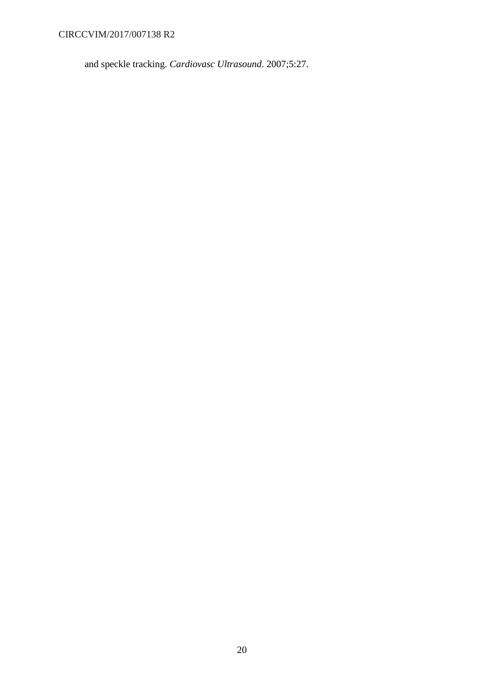CIRCCVIM/2017/007138 R2

and speckle tracking. *Cardiovasc Ultrasound*. 2007;5:27.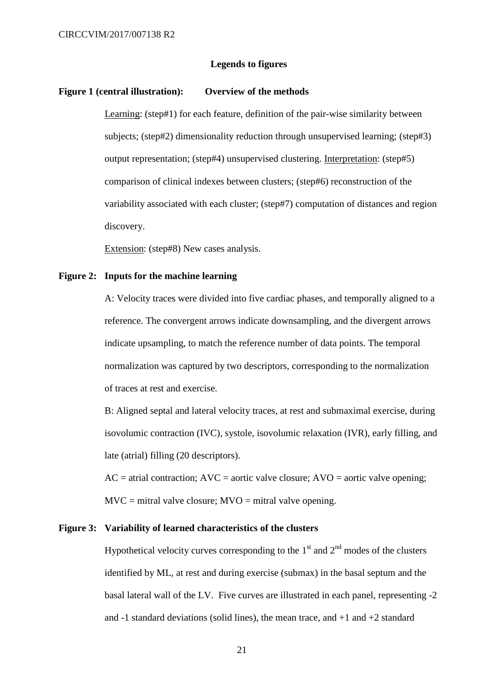### **Legends to figures**

#### **Figure 1 (central illustration): Overview of the methods**

Learning: (step#1) for each feature, definition of the pair-wise similarity between subjects; (step#2) dimensionality reduction through unsupervised learning; (step#3) output representation; (step#4) unsupervised clustering. Interpretation: (step#5) comparison of clinical indexes between clusters; (step#6) reconstruction of the variability associated with each cluster; (step#7) computation of distances and region discovery.

Extension: (step#8) New cases analysis.

### **Figure 2: Inputs for the machine learning**

A: Velocity traces were divided into five cardiac phases, and temporally aligned to a reference. The convergent arrows indicate downsampling, and the divergent arrows indicate upsampling, to match the reference number of data points. The temporal normalization was captured by two descriptors, corresponding to the normalization of traces at rest and exercise.

B: Aligned septal and lateral velocity traces, at rest and submaximal exercise, during isovolumic contraction (IVC), systole, isovolumic relaxation (IVR), early filling, and late (atrial) filling (20 descriptors).

 $AC =$  atrial contraction;  $AVC =$  aortic valve closure;  $AVO =$  aortic valve opening;  $MVC = mitral value closure; MVO = mitral value opening.$ 

### **Figure 3: Variability of learned characteristics of the clusters**

Hypothetical velocity curves corresponding to the  $1<sup>st</sup>$  and  $2<sup>nd</sup>$  modes of the clusters identified by ML, at rest and during exercise (submax) in the basal septum and the basal lateral wall of the LV. Five curves are illustrated in each panel, representing -2 and  $-1$  standard deviations (solid lines), the mean trace, and  $+1$  and  $+2$  standard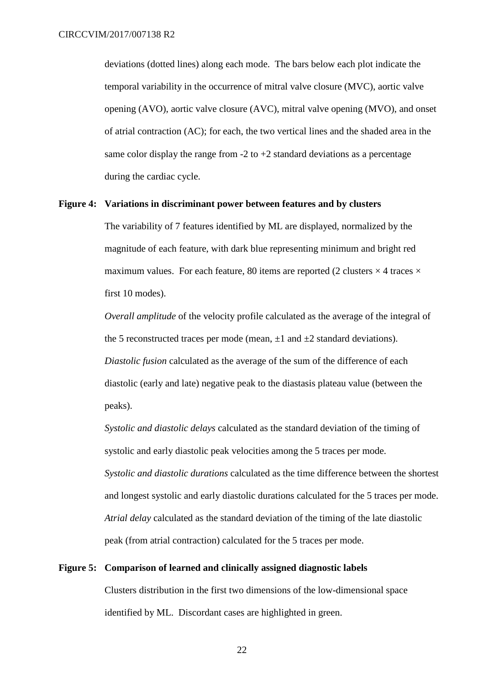deviations (dotted lines) along each mode. The bars below each plot indicate the temporal variability in the occurrence of mitral valve closure (MVC), aortic valve opening (AVO), aortic valve closure (AVC), mitral valve opening (MVO), and onset of atrial contraction (AC); for each, the two vertical lines and the shaded area in the same color display the range from  $-2$  to  $+2$  standard deviations as a percentage during the cardiac cycle.

# **Figure 4: Variations in discriminant power between features and by clusters**

The variability of 7 features identified by ML are displayed, normalized by the magnitude of each feature, with dark blue representing minimum and bright red maximum values. For each feature, 80 items are reported (2 clusters  $\times$  4 traces  $\times$ first 10 modes).

*Overall amplitude* of the velocity profile calculated as the average of the integral of the 5 reconstructed traces per mode (mean,  $\pm 1$  and  $\pm 2$  standard deviations). *Diastolic fusion* calculated as the average of the sum of the difference of each diastolic (early and late) negative peak to the diastasis plateau value (between the peaks).

*Systolic and diastolic delays* calculated as the standard deviation of the timing of systolic and early diastolic peak velocities among the 5 traces per mode. *Systolic and diastolic durations* calculated as the time difference between the shortest and longest systolic and early diastolic durations calculated for the 5 traces per mode. *Atrial delay* calculated as the standard deviation of the timing of the late diastolic peak (from atrial contraction) calculated for the 5 traces per mode.

# **Figure 5: Comparison of learned and clinically assigned diagnostic labels**

Clusters distribution in the first two dimensions of the low-dimensional space identified by ML. Discordant cases are highlighted in green.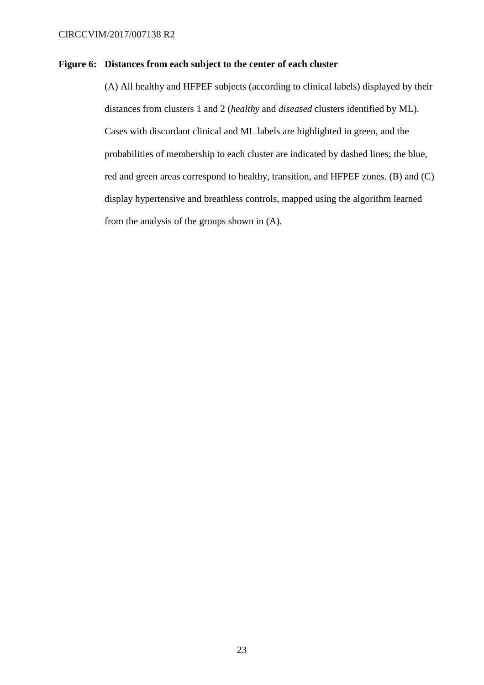# **Figure 6: Distances from each subject to the center of each cluster**

(A) All healthy and HFPEF subjects (according to clinical labels) displayed by their distances from clusters 1 and 2 (*healthy* and *diseased* clusters identified by ML). Cases with discordant clinical and ML labels are highlighted in green, and the probabilities of membership to each cluster are indicated by dashed lines; the blue, red and green areas correspond to healthy, transition, and HFPEF zones. (B) and (C) display hypertensive and breathless controls, mapped using the algorithm learned from the analysis of the groups shown in (A).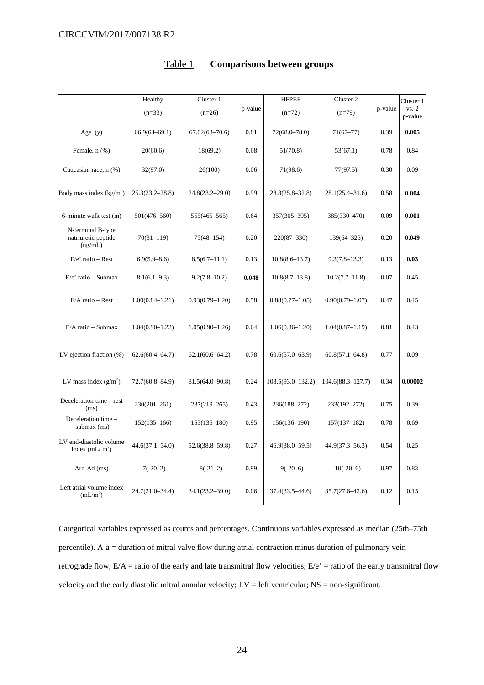|                                                     | Healthy              | Cluster 1           |         | <b>HFPEF</b>         | Cluster 2             |         | Cluster 1        |
|-----------------------------------------------------|----------------------|---------------------|---------|----------------------|-----------------------|---------|------------------|
|                                                     | $(n=33)$<br>$(n=26)$ |                     | p-value | $(n=79)$<br>$(n=72)$ |                       | p-value | vs. 2<br>p-value |
| Age $(y)$                                           | $66.9(64 - 69.1)$    | $67.02(63 - 70.6)$  | 0.81    | $72(68.0 - 78.0)$    | $71(67 - 77)$         | 0.39    | 0.005            |
| Female, n (%)                                       | 20(60.6)             | 18(69.2)            | 0.68    | 51(70.8)             | 53(67.1)              | 0.78    | 0.84             |
| Caucasian race, n (%)                               | 32(97.0)             | 26(100)             | 0.06    | 71(98.6)             | 77(97.5)              | 0.30    | 0.09             |
| Body mass index $(kg/m2)$                           | $25.3(23.2 - 28.8)$  | $24.8(23.2 - 29.0)$ | 0.99    | $28.8(25.8 - 32.8)$  | $28.1(25.4 - 31.6)$   | 0.58    | 0.004            |
| 6-minute walk test (m)                              | $501(476 - 560)$     | 555(465–565)        | 0.64    | $357(305 - 395)$     | 385(330-470)          | 0.09    | 0.001            |
| N-terminal B-type<br>natriuretic peptide<br>(ng/mL) | $70(31 - 119)$       | $75(48 - 154)$      | 0.20    | $220(87 - 330)$      | $139(64 - 325)$       | 0.20    | 0.049            |
| $E/e'$ ratio – Rest                                 | $6.9(5.9 - 8.6)$     | $8.5(6.7-11.1)$     | 0.13    | $10.8(8.6 - 13.7)$   | $9.3(7.8-13.3)$       | 0.13    | 0.03             |
| $E/e'$ ratio – Submax                               | $8.1(6.1 - 9.3)$     | $9.2(7.8 - 10.2)$   | 0.048   | 10.8(8.7–13.8)       | $10.2(7.7 - 11.8)$    | 0.07    | 0.45             |
| $E/A$ ratio – Rest                                  | $1.00(0.84 - 1.21)$  | $0.93(0.79 - 1.20)$ | 0.58    | $0.88(0.77-1.05)$    | $0.90(0.79 - 1.07)$   | 0.47    | 0.45             |
| $E/A$ ratio - Submax                                | $1.04(0.90 - 1.23)$  | $1.05(0.90-1.26)$   | 0.64    | $1.06(0.86 - 1.20)$  | $1.04(0.87 - 1.19)$   | 0.81    | 0.43             |
| LV ejection fraction $(\%)$                         | $62.6(60.4 - 64.7)$  | $62.1(60.6 - 64.2)$ | 0.78    | $60.6(57.0 - 63.9)$  | $60.8(57.1 - 64.8)$   | 0.77    | 0.09             |
| LV mass index $(g/m^2)$                             | $72.7(60.8 - 84.9)$  | $81.5(64.0 - 90.8)$ | 0.24    | 108.5(93.0-132.2)    | $104.6(88.3 - 127.7)$ | 0.34    | 0.00002          |
| Deceleration time - rest<br>(ms)                    | $230(201 - 261)$     | 237(219-265)        | 0.43    | 236(188-272)         | 233(192-272)          | 0.75    | 0.39             |
| Deceleration time -<br>submax $(ms)$                | $152(135 - 166)$     | $153(135 - 180)$    | 0.95    | $156(136 - 190)$     | $157(137-182)$        | 0.78    | 0.69             |
| LV end-diastolic volume<br>index $(mL/m^2)$         | $44.6(37.1 - 54.0)$  | $52.6(38.8 - 59.8)$ | 0.27    | $46.9(38.0 - 59.5)$  | $44.9(37.3 - 56.3)$   | 0.54    | 0.25             |
| Ard-Ad (ms)                                         | $-7(-20-2)$          | $-8(-21-2)$         | 0.99    | $-9(-20-6)$          | $-10(-20-6)$          | 0.97    | 0.83             |
| Left atrial volume index<br>(mL/m <sup>2</sup> )    | $24.7(21.0 - 34.4)$  | $34.1(23.2 - 39.0)$ | 0.06    | 37.4(33.5–44.6)      | $35.7(27.6 - 42.6)$   | 0.12    | 0.15             |

# Table 1: **Comparisons between groups**

Categorical variables expressed as counts and percentages. Continuous variables expressed as median (25th–75th percentile). A-a = duration of mitral valve flow during atrial contraction minus duration of pulmonary vein retrograde flow;  $E/A$  = ratio of the early and late transmitral flow velocities;  $E/e'$  = ratio of the early transmitral flow velocity and the early diastolic mitral annular velocity; LV = left ventricular; NS = non-significant.